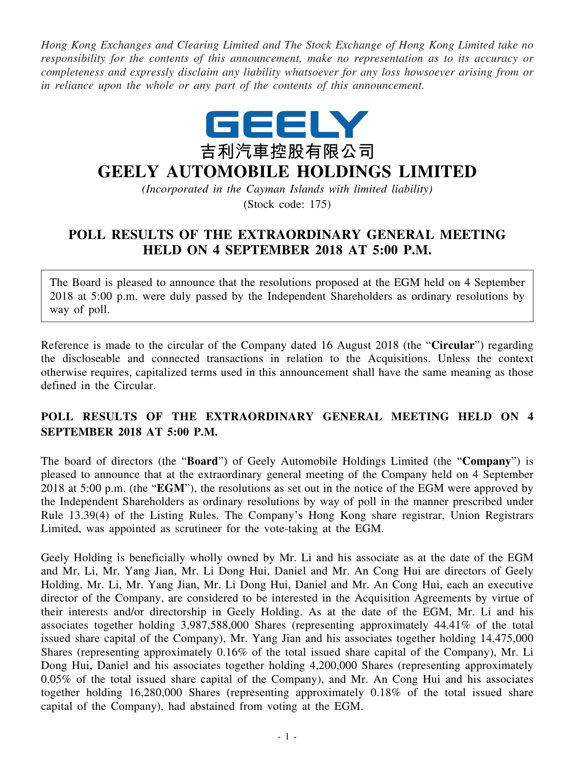*Hong Kong Exchanges and Clearing Limited and The Stock Exchange of Hong Kong Limited take no responsibility for the contents of this announcement, make no representation as to its accuracy or completeness and expressly disclaim any liability whatsoever for any loss howsoever arising from or in reliance upon the whole or any part of the contents of this announcement.*



## **GEELY AUTOMOBILE HOLDINGS LIMITED**

*(Incorporated in the Cayman Islands with limited liability)*

(Stock code: 175)

## **POLL RESULTS OF THE EXTRAORDINARY GENERAL MEETING HELD ON 4 SEPTEMBER 2018 AT 5:00 P.M.**

The Board is pleased to announce that the resolutions proposed at the EGM held on 4 September 2018 at 5:00 p.m. were duly passed by the Independent Shareholders as ordinary resolutions by way of poll.

Reference is made to the circular of the Company dated 16 August 2018 (the "**Circular**") regarding the discloseable and connected transactions in relation to the Acquisitions. Unless the context otherwise requires, capitalized terms used in this announcement shall have the same meaning as those defined in the Circular.

## **POLL RESULTS OF THE EXTRAORDINARY GENERAL MEETING HELD ON 4 SEPTEMBER 2018 AT 5:00 P.M.**

The board of directors (the "**Board**") of Geely Automobile Holdings Limited (the "**Company**") is pleased to announce that at the extraordinary general meeting of the Company held on 4 September 2018 at 5:00 p.m. (the "**EGM**"), the resolutions as set out in the notice of the EGM were approved by the Independent Shareholders as ordinary resolutions by way of poll in the manner prescribed under Rule 13.39(4) of the Listing Rules. The Company's Hong Kong share registrar, Union Registrars Limited, was appointed as scrutineer for the vote-taking at the EGM.

Geely Holding is beneficially wholly owned by Mr. Li and his associate as at the date of the EGM and Mr. Li, Mr. Yang Jian, Mr. Li Dong Hui, Daniel and Mr. An Cong Hui are directors of Geely Holding. Mr. Li, Mr. Yang Jian, Mr. Li Dong Hui, Daniel and Mr. An Cong Hui, each an executive director of the Company, are considered to be interested in the Acquisition Agreements by virtue of their interests and/or directorship in Geely Holding. As at the date of the EGM, Mr. Li and his associates together holding 3,987,588,000 Shares (representing approximately 44.41% of the total issued share capital of the Company), Mr. Yang Jian and his associates together holding 14,475,000 Shares (representing approximately 0.16% of the total issued share capital of the Company), Mr. Li Dong Hui, Daniel and his associates together holding 4,200,000 Shares (representing approximately 0.05% of the total issued share capital of the Company), and Mr. An Cong Hui and his associates together holding 16,280,000 Shares (representing approximately 0.18% of the total issued share capital of the Company), had abstained from voting at the EGM.